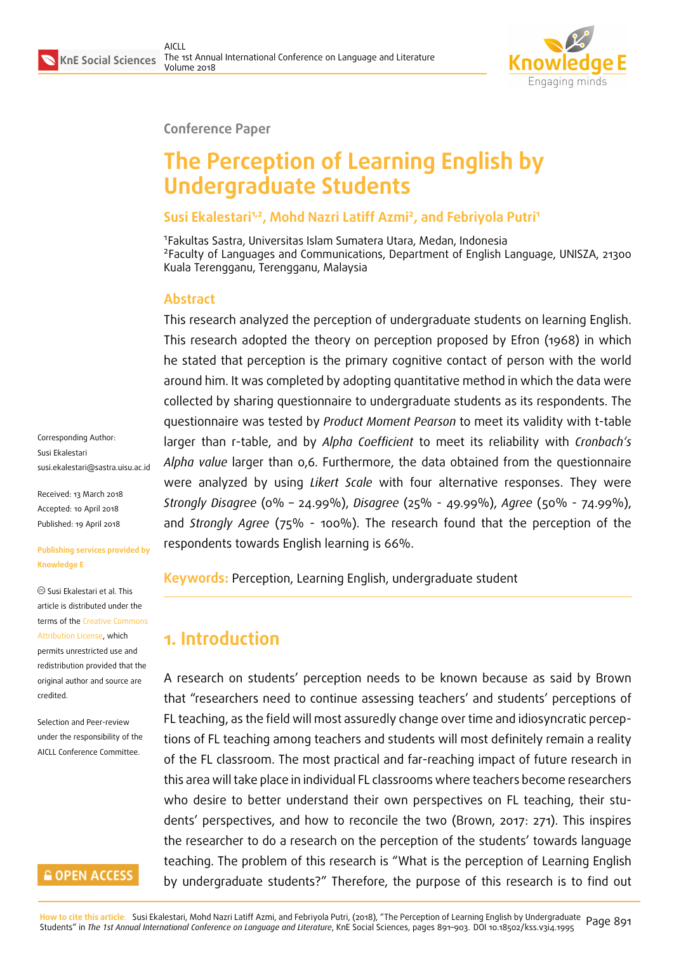

### **Conference Paper**

# **The Perception of Learning English by Undergraduate Students**

# **Susi Ekalestari1,2, Mohd Nazri Latiff Azmi<sup>2</sup> , and Febriyola Putri<sup>1</sup>**

1 Fakultas Sastra, Universitas Islam Sumatera Utara, Medan, Indonesia <sup>2</sup> Faculty of Languages and Communications, Department of English Language, UNISZA, 21300 Kuala Terengganu, Terengganu, Malaysia

# **Abstract**

This research analyzed the perception of undergraduate students on learning English. This research adopted the theory on perception proposed by Efron (1968) in which he stated that perception is the primary cognitive contact of person with the world around him. It was completed by adopting quantitative method in which the data were collected by sharing questionnaire to undergraduate students as its respondents. The questionnaire was tested by *Product Moment Pearson* to meet its validity with t-table larger than r-table, and by *Alpha Coefficient* to meet its reliability with *Cronbach's Alpha value* larger than 0,6. Furthermore, the data obtained from the questionnaire were analyzed by using *Likert Scale* with four alternative responses. They were *Strongly Disagree* (0% – 24.99%), *Disagree* (25% - 49.99%), *Agree* (50% - 74.99%), and *Strongly Agree* (75% - 100%). The research found that the perception of the respondents towards English learning is 66%.

**Keywords:** Perception, Learning English, undergraduate student

# **1. Introduction**

A research on students' perception needs to be known because as said by Brown that "researchers need to continue assessing teachers' and students' perceptions of FL teaching, as the field will most assuredly change over time and idiosyncratic perceptions of FL teaching among teachers and students will most definitely remain a reality of the FL classroom. The most practical and far-reaching impact of future research in this area will take place in individual FL classrooms where teachers become researchers who desire to better understand their own perspectives on FL teaching, their students' perspectives, and how to reconcile the two (Brown, 2017: 271). This inspires the researcher to do a research on the perception of the students' towards language teaching. The problem of this research is "What is the perception of Learning English by undergraduate students?" Therefore, the purpose of this research is to find out

Corresponding Author: Susi Ekalestari susi.ekalestari@sastra.uisu.ac.id

Received: 13 March 2018 Accepted: 10 April 2018 [Published: 19 April 2018](mailto:susi.ekalestari@sastra.uisu.ac.id)

#### **Publishing services provided by Knowledge E**

Susi Ekalestari et al. This article is distributed under the terms of the Creative Commons Attribution License, which permits unrestricted use and redistribution provided that the original auth[or and source are](https://creativecommons.org/licenses/by/4.0/) [credited.](https://creativecommons.org/licenses/by/4.0/)

Selection and Peer-review under the responsibility of the AICLL Conference Committee.

# **GOPEN ACCESS**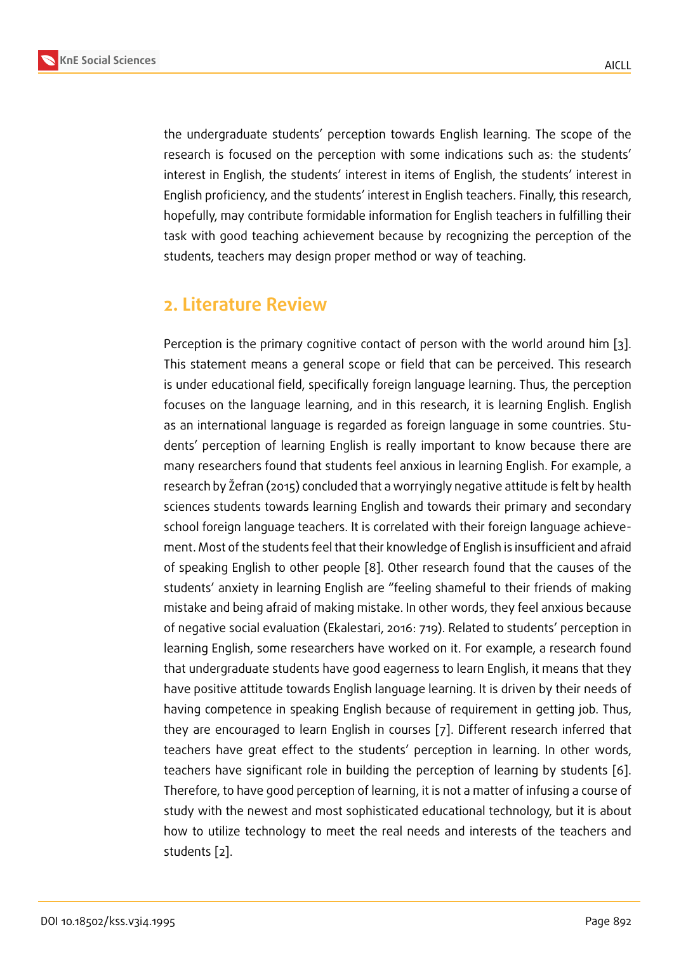the undergraduate students' perception towards English learning. The scope of the research is focused on the perception with some indications such as: the students' interest in English, the students' interest in items of English, the students' interest in English proficiency, and the students' interest in English teachers. Finally, this research, hopefully, may contribute formidable information for English teachers in fulfilling their task with good teaching achievement because by recognizing the perception of the students, teachers may design proper method or way of teaching.

# **2. Literature Review**

Perception is the primary cognitive contact of person with the world around him [3]. This statement means a general scope or field that can be perceived. This research is under educational field, specifically foreign language learning. Thus, the perception focuses on the language learning, and in this research, it is learning English. Engl[is](#page-12-0)h as an international language is regarded as foreign language in some countries. Students' perception of learning English is really important to know because there are many researchers found that students feel anxious in learning English. For example, a research by Žefran (2015) concluded that a worryingly negative attitude is felt by health sciences students towards learning English and towards their primary and secondary school foreign language teachers. It is correlated with their foreign language achievement. Most of the students feel that their knowledge of English is insufficient and afraid of speaking English to other people [8]. Other research found that the causes of the students' anxiety in learning English are "feeling shameful to their friends of making mistake and being afraid of making mistake. In other words, they feel anxious because of negative social evaluation (Ekalest[ar](#page-12-1)i, 2016: 719). Related to students' perception in learning English, some researchers have worked on it. For example, a research found that undergraduate students have good eagerness to learn English, it means that they have positive attitude towards English language learning. It is driven by their needs of having competence in speaking English because of requirement in getting job. Thus, they are encouraged to learn English in courses [7]. Different research inferred that teachers have great effect to the students' perception in learning. In other words, teachers have significant role in building the perception of learning by students [6]. Therefore, to have good perception of learning, it i[s n](#page-12-2)ot a matter of infusing a course of study with the newest and most sophisticated educational technology, but it is about how to utilize technology to meet the real needs and interests of the teachers [an](#page-12-3)d students [2].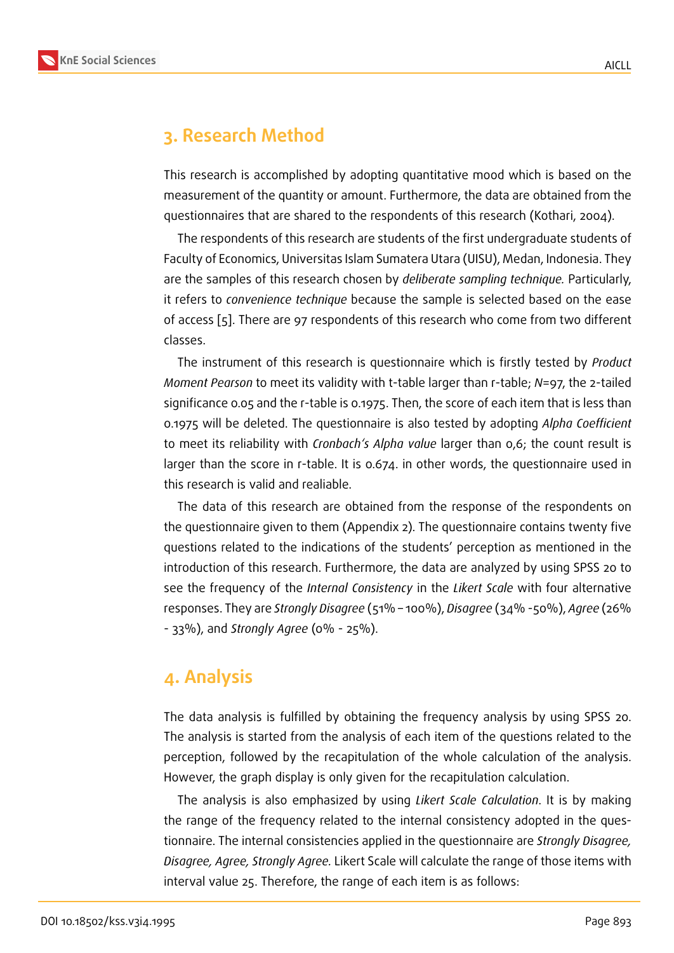# **3. Research Method**

This research is accomplished by adopting quantitative mood which is based on the measurement of the quantity or amount. Furthermore, the data are obtained from the questionnaires that are shared to the respondents of this research (Kothari, 2004).

The respondents of this research are students of the first undergraduate students of Faculty of Economics, Universitas Islam Sumatera Utara (UISU), Medan, Indonesia. They are the samples of this research chosen by *deliberate sampling technique.* Particularly, it refers to *convenience technique* because the sample is selected based on the ease of access [5]. There are 97 respondents of this research who come from two different classes.

The instrument of this research is questionnaire which is firstly tested by *Product Moment P[ea](#page-12-4)rson* to meet its validity with t-table larger than r-table; *N*=97, the 2-tailed significance 0.05 and the r-table is 0.1975. Then, the score of each item that is less than 0.1975 will be deleted. The questionnaire is also tested by adopting *Alpha Coefficient* to meet its reliability with *Cronbach's Alpha value* larger than 0,6; the count result is larger than the score in r-table. It is 0.674. in other words, the questionnaire used in this research is valid and realiable.

The data of this research are obtained from the response of the respondents on the questionnaire given to them (Appendix 2). The questionnaire contains twenty five questions related to the indications of the students' perception as mentioned in the introduction of this research. Furthermore, the data are analyzed by using SPSS 20 to see the frequency of the *Internal Consistency* in the *Likert Scale* with four alternative responses. They are *Strongly Disagree* (51% – 100%), *Disagree* (34% -50%), *Agree* (26% - 33%), and *Strongly Agree* (0% - 25%).

# **4. Analysis**

The data analysis is fulfilled by obtaining the frequency analysis by using SPSS 20. The analysis is started from the analysis of each item of the questions related to the perception, followed by the recapitulation of the whole calculation of the analysis. However, the graph display is only given for the recapitulation calculation.

The analysis is also emphasized by using *Likert Scale Calculation*. It is by making the range of the frequency related to the internal consistency adopted in the questionnaire. The internal consistencies applied in the questionnaire are *Strongly Disagree, Disagree, Agree, Strongly Agree.* Likert Scale will calculate the range of those items with interval value 25. Therefore, the range of each item is as follows: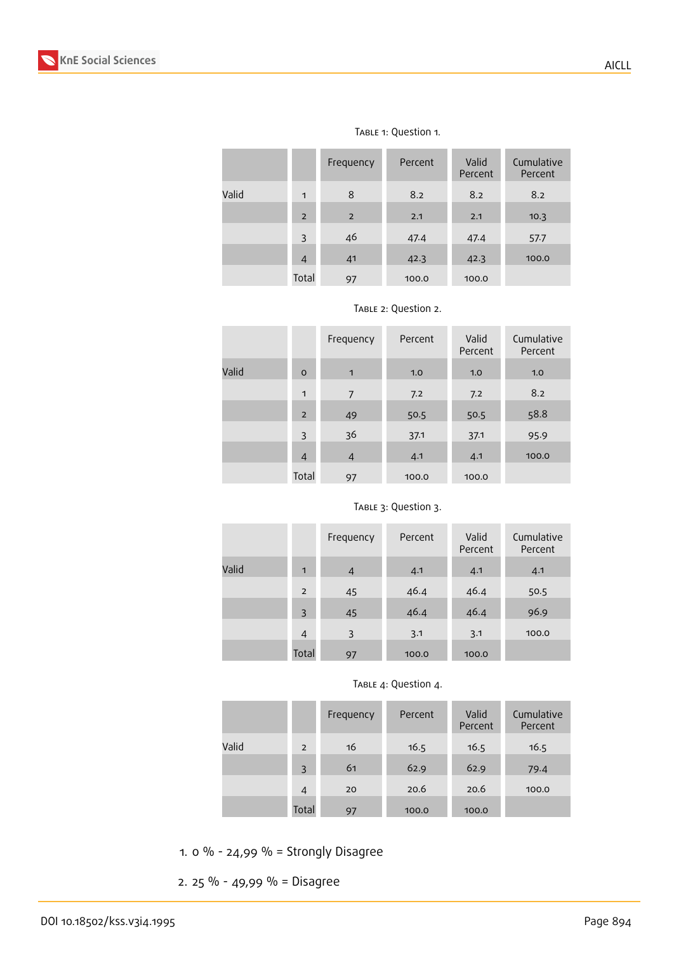|       |                | Frequency      | Percent | Valid<br>Percent | Cumulative<br>Percent |
|-------|----------------|----------------|---------|------------------|-----------------------|
| Valid | $\mathbf{1}$   | 8              | 8.2     | 8.2              | 8.2                   |
|       | $\overline{2}$ | $\overline{2}$ | 2.1     | 2.1              | 10.3                  |
|       | 3              | 46             | 47.4    | 47.4             | 57.7                  |
|       | $\overline{4}$ | 41             | 42.3    | 42.3             | 100.0                 |
|       | Total          | 97             | 100.0   | 100.0            |                       |

#### Table 1: Question 1.

TABLE 2: Question 2.

|       |                | Frequency      | Percent | Valid<br>Percent | Cumulative<br>Percent |
|-------|----------------|----------------|---------|------------------|-----------------------|
| Valid | $\circ$        | $\blacksquare$ | 1.0     | 1.0              | 1.0                   |
|       | $\mathbf{1}$   | 7              | 7.2     | 7.2              | 8.2                   |
|       | $\overline{2}$ | 49             | 50.5    | 50.5             | 58.8                  |
|       | 3              | 36             | 37.1    | 37.1             | 95.9                  |
|       | $\overline{4}$ | $\overline{4}$ | 4.1     | 4.1              | 100.0                 |
|       | Total          | 97             | 100.0   | 100.0            |                       |

|       |                | Frequency      | Percent | Valid<br>Percent | Cumulative<br>Percent |
|-------|----------------|----------------|---------|------------------|-----------------------|
| Valid | 1              | $\overline{4}$ | 4.1     | 4.1              | 4.1                   |
|       | $\overline{2}$ | 45             | 46.4    | 46.4             | 50.5                  |
|       | 3              | 45             | 46.4    | 46.4             | 96.9                  |
|       | $\overline{4}$ | 3              | 3.1     | 3.1              | 100.0                 |
|       | Total          | 97             | 100.0   | 100.0            |                       |

### TABLE 3: Question 3.

### TABLE 4: Question 4.

|       |       | Frequency | Percent | Valid<br>Percent | Cumulative<br>Percent |
|-------|-------|-----------|---------|------------------|-----------------------|
| Valid | 2     | 16        | 16.5    | 16.5             | 16.5                  |
|       | 3     | 61        | 62.9    | 62.9             | 79.4                  |
|       | 4     | 20        | 20.6    | 20.6             | 100.0                 |
|       | Total | 97        | 100.0   | 100.0            |                       |

1. 0 % - 24,99 % = Strongly Disagree

2. 25 % - 49,99 % = Disagree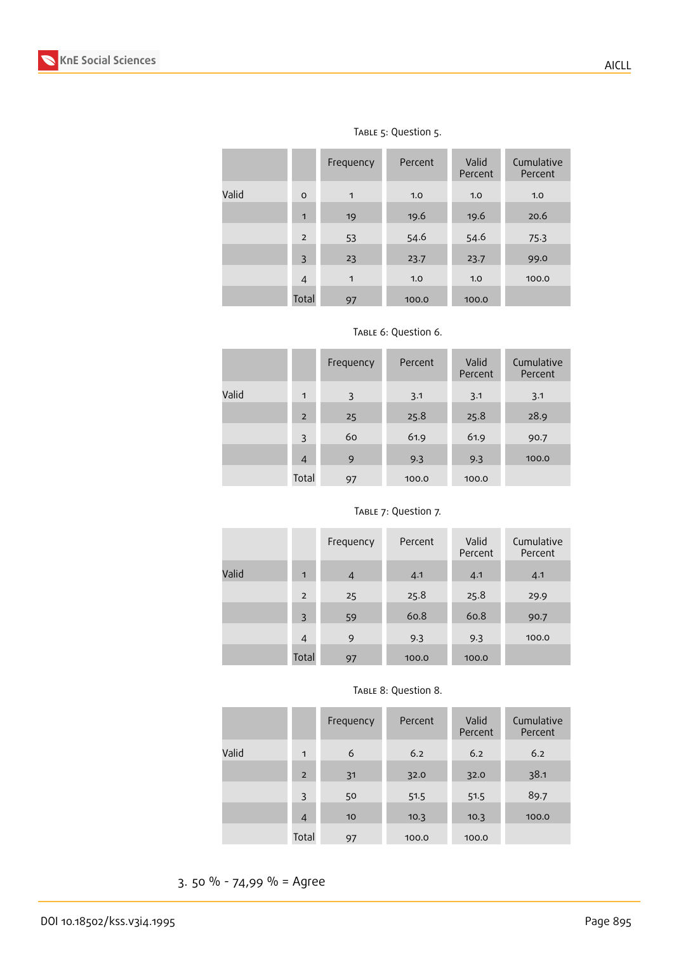

|       |                | Frequency    | Percent | Valid<br>Percent | Cumulative<br>Percent |
|-------|----------------|--------------|---------|------------------|-----------------------|
| Valid | $\Omega$       | $\mathbf{1}$ | 1.0     | 1.0              | 1.0                   |
|       | $\mathbf{1}$   | 19           | 19.6    | 19.6             | 20.6                  |
|       | $\overline{2}$ | 53           | 54.6    | 54.6             | 75.3                  |
|       | 3              | 23           | 23.7    | 23.7             | 99.0                  |
|       | $\overline{4}$ | $\mathbf{1}$ | 1.0     | 1.0              | 100.0                 |
|       | Total          | 97           | 100.0   | 100.0            |                       |

# TABLE 5: Question 5.

|       |                | Frequency | Percent | Valid<br>Percent | Cumulative<br>Percent |
|-------|----------------|-----------|---------|------------------|-----------------------|
| Valid | 1              | 3         | 3.1     | 3.1              | 3.1                   |
|       | $\overline{2}$ | 25        | 25.8    | 25.8             | 28.9                  |
|       | 3              | 60        | 61.9    | 61.9             | 90.7                  |
|       | $\overline{4}$ | 9         | 9.3     | 9.3              | 100.0                 |
|       | Total          | 97        | 100.0   | 100.0            |                       |

#### TABLE 6: Question 6.

|       |                | Frequency      | Percent | Valid<br>Percent | Cumulative<br>Percent |
|-------|----------------|----------------|---------|------------------|-----------------------|
| Valid | $\mathbf{1}$   | $\overline{4}$ | 4.1     | 4.1              | 4.1                   |
|       | $\overline{2}$ | 25             | 25.8    | 25.8             | 29.9                  |
|       | 3              | 59             | 60.8    | 60.8             | 90.7                  |
|       | $\overline{4}$ | 9              | 9.3     | 9.3              | 100.0                 |
|       | Total          | 97             | 100.0   | 100.0            |                       |

#### Table 7: Question 7.

#### TABLE 8: Question 8.

|       |                | Frequency | Percent | Valid<br>Percent | Cumulative<br>Percent |
|-------|----------------|-----------|---------|------------------|-----------------------|
| Valid | $\mathbf{1}$   | 6         | 6.2     | 6.2              | 6.2                   |
|       | $\overline{2}$ | 31        | 32.0    | 32.0             | 38.1                  |
|       | 3              | 50        | 51.5    | 51.5             | 89.7                  |
|       | 4              | 10        | 10.3    | 10.3             | 100.0                 |
|       | Total          | 97        | 100.0   | 100.0            |                       |

3. 50 % - 74,99 % = Agree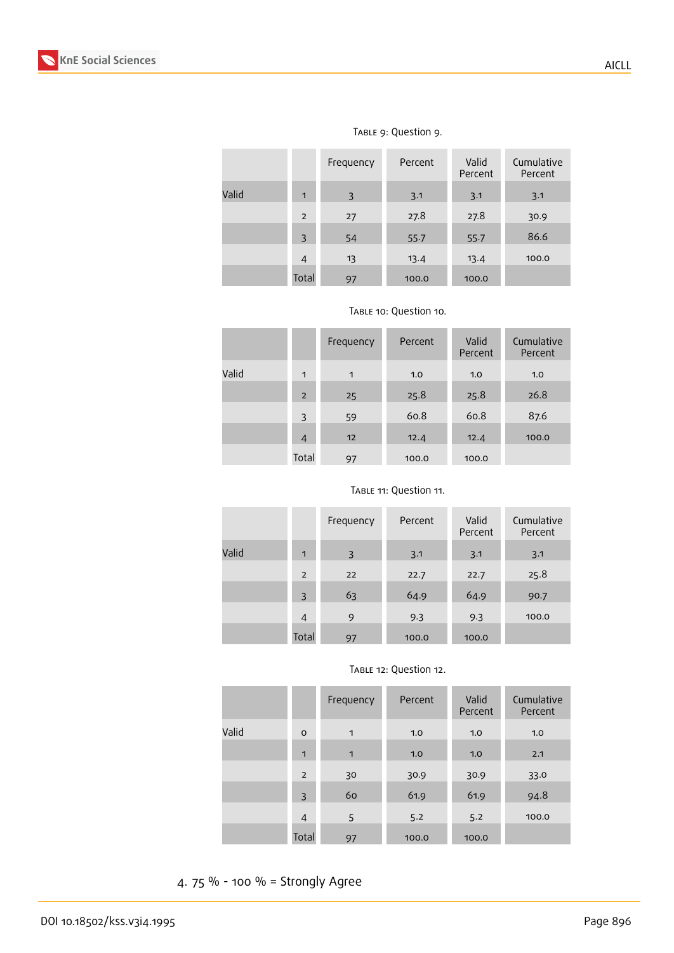|       |                | Frequency | Percent | Valid<br>Percent | Cumulative<br>Percent |
|-------|----------------|-----------|---------|------------------|-----------------------|
| Valid | 1              | 3         | 3.1     | 3.1              | 3.1                   |
|       | $\overline{2}$ | 27        | 27.8    | 27.8             | 30.9                  |
|       | 3              | 54        | 55.7    | 55.7             | 86.6                  |
|       | $\overline{4}$ | 13        | 13.4    | 13.4             | 100.0                 |
|       | Total          | 97        | 100.0   | 100.0            |                       |

### TABLE 9: Question 9.

|  | TABLE 10: Question 10. |
|--|------------------------|
|--|------------------------|

|       |                | Frequency | Percent | Valid<br>Percent | Cumulative<br>Percent |
|-------|----------------|-----------|---------|------------------|-----------------------|
| Valid | $\mathbf{1}$   | 1         | 1.0     | 1.0              | 1.0                   |
|       | $\overline{2}$ | 25        | 25.8    | 25.8             | 26.8                  |
|       | 3              | 59        | 60.8    | 60.8             | 87.6                  |
|       | 4              | 12        | 12.4    | 12.4             | 100.0                 |
|       | Total          | 97        | 100.0   | 100.0            |                       |

### Table 11: Question 11.

|       |                | Frequency | Percent | Valid<br>Percent | Cumulative<br>Percent |
|-------|----------------|-----------|---------|------------------|-----------------------|
| Valid | $\blacksquare$ | 3         | 3.1     | 3.1              | 3.1                   |
|       | $\overline{2}$ | 22        | 22.7    | 22.7             | 25.8                  |
|       | 3              | 63        | 64.9    | 64.9             | 90.7                  |
|       | 4              | 9         | 9.3     | 9.3              | 100.0                 |
|       | Total          | 97        | 100.0   | 100.0            |                       |

|       |                | Frequency    | Percent | Valid<br>Percent | Cumulative<br>Percent |
|-------|----------------|--------------|---------|------------------|-----------------------|
| Valid | $\circ$        | 1            | 1.0     | 1.0              | 1.0                   |
|       | $\mathbf{1}$   | $\mathbf{1}$ | 1.0     | 1.0              | 2.1                   |
|       | $\overline{2}$ | 30           | 30.9    | 30.9             | 33.0                  |
|       | 3              | 60           | 61.9    | 61.9             | 94.8                  |
|       | $\overline{4}$ | 5            | 5.2     | 5.2              | 100.0                 |
|       | Total          | 97           | 100.0   | 100.0            |                       |

### TABLE 12: Question 12.

4. 75 % - 100 % = Strongly Agree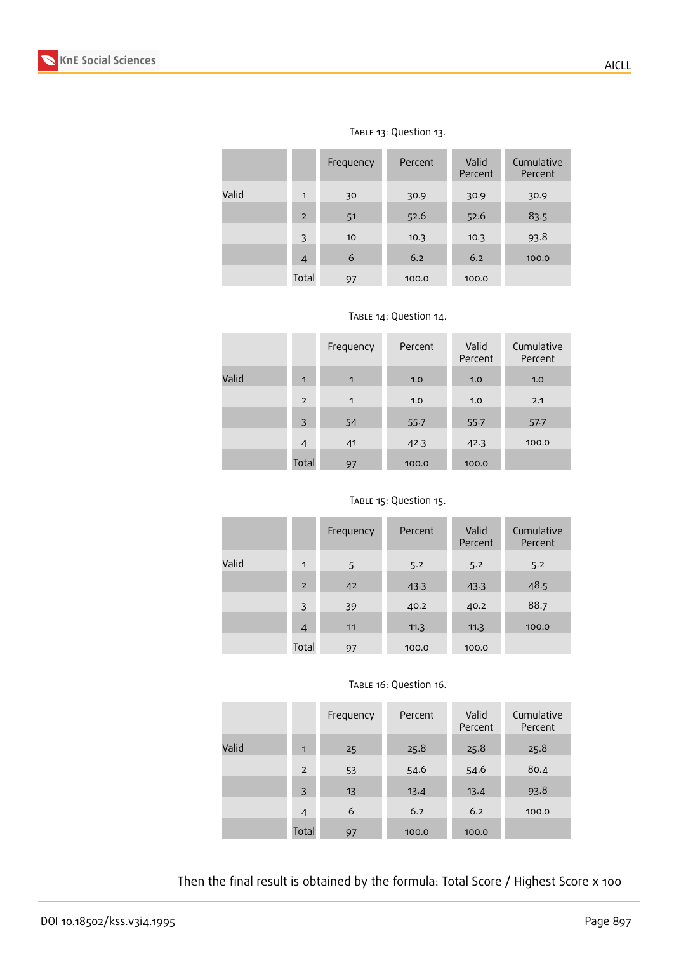

|       |                | Frequency | Percent | Valid<br>Percent | Cumulative<br>Percent |
|-------|----------------|-----------|---------|------------------|-----------------------|
| Valid | $\mathbf{1}$   | 30        | 30.9    | 30.9             | 30.9                  |
|       | $\overline{2}$ | 51        | 52.6    | 52.6             | 83.5                  |
|       | 3              | 10        | 10.3    | 10.3             | 93.8                  |
|       | $\overline{4}$ | 6         | 6.2     | 6.2              | 100.0                 |
|       | Total          | 97        | 100.0   | 100.0            |                       |

## TABLE 13: Question 13.

|  | TABLE 14: Question 14. |
|--|------------------------|
|--|------------------------|

|       |                | Frequency    | Percent | Valid<br>Percent | Cumulative<br>Percent |
|-------|----------------|--------------|---------|------------------|-----------------------|
| Valid | $\blacksquare$ | $\mathbf{1}$ | 1.0     | 1.0              | 1.0                   |
|       | $\overline{2}$ | $\mathbf{1}$ | 1.0     | 1.0              | 2.1                   |
|       | 3              | 54           | 55.7    | 55.7             | 57.7                  |
|       | $\overline{4}$ | 41           | 42.3    | 42.3             | 100.0                 |
|       | Total          | 97           | 100.0   | 100.0            |                       |

#### TABLE 15: Question 15.

|       |                | Frequency | Percent | Valid<br>Percent | Cumulative<br>Percent |
|-------|----------------|-----------|---------|------------------|-----------------------|
| Valid | 1              | 5         | 5.2     | 5.2              | 5.2                   |
|       | $\overline{2}$ | 42        | 43.3    | 43.3             | 48.5                  |
|       | 3              | 39        | 40.2    | 40.2             | 88.7                  |
|       | $\overline{4}$ | 11        | 11.3    | 11.3             | 100.0                 |
|       | Total          | 97        | 100.0   | 100.0            |                       |

#### TABLE 16: Question 16.

|       |                | Frequency | Percent | Valid<br>Percent | Cumulative<br>Percent |
|-------|----------------|-----------|---------|------------------|-----------------------|
| Valid | $\mathbf{1}$   | 25        | 25.8    | 25.8             | 25.8                  |
|       | $\overline{2}$ | 53        | 54.6    | 54.6             | 80.4                  |
|       | 3              | 13        | 13.4    | 13.4             | 93.8                  |
|       | 4              | 6         | 6.2     | 6.2              | 100.0                 |
|       | Total          | 97        | 100.0   | 100.0            |                       |

Then the final result is obtained by the formula: Total Score / Highest Score x 100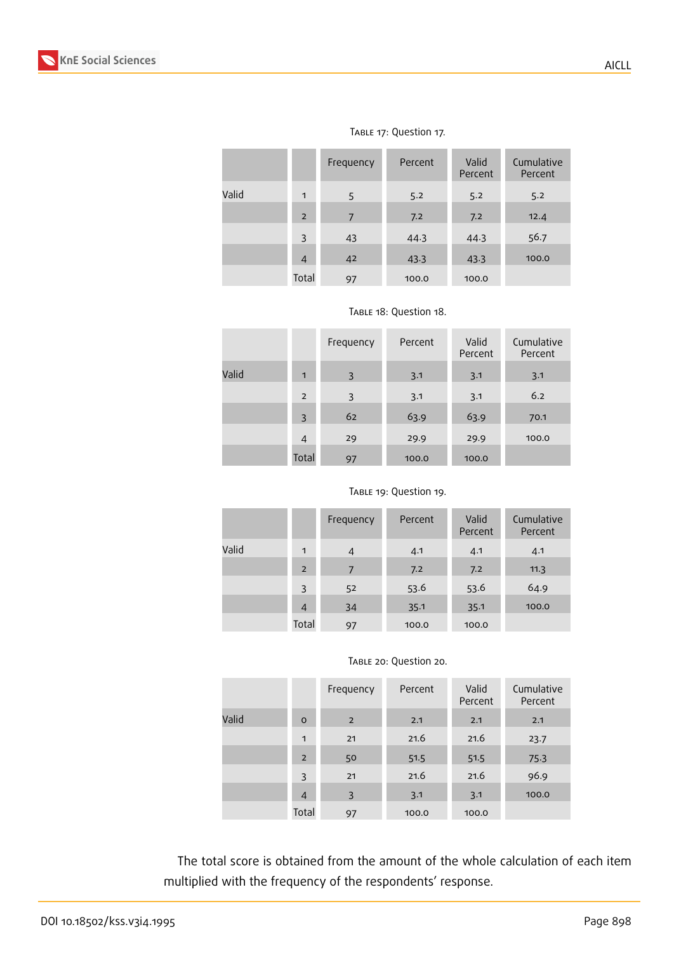|       |                | Frequency | Percent | Valid<br>Percent | Cumulative<br>Percent |
|-------|----------------|-----------|---------|------------------|-----------------------|
| Valid | 1              | 5         | 5.2     | 5.2              | 5.2                   |
|       | $\overline{2}$ | 7         | 7.2     | 7.2              | 12.4                  |
|       | 3              | 43        | 44.3    | 44.3             | 56.7                  |
|       | $\overline{4}$ | 42        | 43.3    | 43.3             | 100.0                 |
|       | Total          | 97        | 100.0   | 100.0            |                       |

### Table 17: Question 17.

|       |                | Frequency      | Percent | Valid<br>Percent | Cumulative<br>Percent |
|-------|----------------|----------------|---------|------------------|-----------------------|
| Valid | $\blacksquare$ | $\overline{3}$ | 3.1     | 3.1              | 3.1                   |
|       | $\overline{2}$ | 3              | 3.1     | 3.1              | 6.2                   |
|       | 3              | 62             | 63.9    | 63.9             | 70.1                  |
|       | 4              | 29             | 29.9    | 29.9             | 100.0                 |
|       | Total          | 97             | 100.0   | 100.0            |                       |

|  | TABLE 19: Question 19. |  |
|--|------------------------|--|
|--|------------------------|--|

|       |                | Frequency | Percent | Valid<br>Percent | Cumulative<br>Percent |
|-------|----------------|-----------|---------|------------------|-----------------------|
| Valid | $\mathbf{1}$   | 4         | 4.1     | 4.1              | 4.1                   |
|       | $\overline{2}$ | 7         | 7.2     | 7.2              | 11.3                  |
|       | 3              | 52        | 53.6    | 53.6             | 64.9                  |
|       | $\overline{4}$ | 34        | 35.1    | 35.1             | 100.0                 |
|       | Total          | 97        | 100.0   | 100.0            |                       |

#### TABLE 20: Question 20.

|       |                | Frequency | Percent | Valid<br>Percent | Cumulative<br>Percent |
|-------|----------------|-----------|---------|------------------|-----------------------|
| Valid | $\circ$        | 2         | 2.1     | 2.1              | 2.1                   |
|       | 1              | 21        | 21.6    | 21.6             | 23.7                  |
|       | $\overline{2}$ | 50        | 51.5    | 51.5             | 75.3                  |
|       | 3              | 21        | 21.6    | 21.6             | 96.9                  |
|       | $\overline{4}$ | 3         | 3.1     | 3.1              | 100.0                 |
|       | Total          | 97        | 100.0   | 100.0            |                       |

The total score is obtained from the amount of the whole calculation of each item multiplied with the frequency of the respondents' response.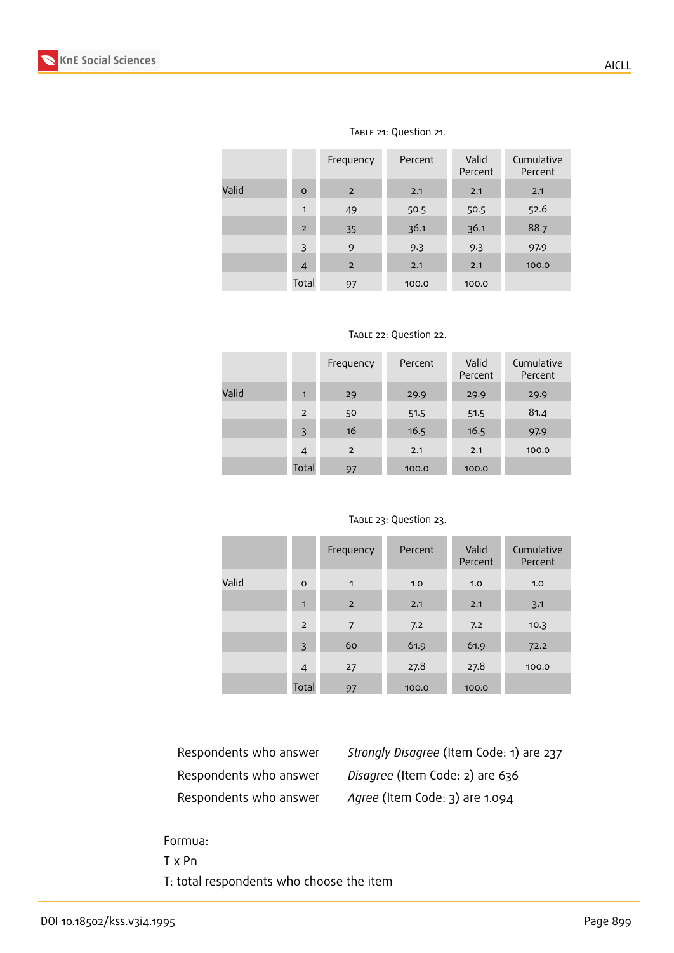

|       |                | Frequency      | Percent | Valid<br>Percent | Cumulative<br>Percent |
|-------|----------------|----------------|---------|------------------|-----------------------|
| Valid | $\circ$        | $\overline{2}$ | 2.1     | 2.1              | 2.1                   |
|       | 1              | 49             | 50.5    | 50.5             | 52.6                  |
|       | $\overline{2}$ | 35             | 36.1    | 36.1             | 88.7                  |
|       | 3              | 9              | 9.3     | 9.3              | 97.9                  |
|       | 4              | $\overline{2}$ | 2.1     | 2.1              | 100.0                 |
|       | Total          | 97             | 100.0   | 100.0            |                       |

#### Table 21: Question 21.

|       |       | Frequency      | Percent | Valid<br>Percent | Cumulative<br>Percent |
|-------|-------|----------------|---------|------------------|-----------------------|
| Valid | 1     | 29             | 29.9    | 29.9             | 29.9                  |
|       | 2     | 50             | 51.5    | 51.5             | 81.4                  |
|       | 3     | 16             | 16.5    | 16.5             | 97.9                  |
|       | 4     | $\overline{2}$ | 2.1     | 2.1              | 100.0                 |
|       | Total | 97             | 100.0   | 100.0            |                       |

#### TABLE 23: Question 23.

|       |                | Frequency      | Percent | Valid<br>Percent | Cumulative<br>Percent |
|-------|----------------|----------------|---------|------------------|-----------------------|
| Valid | $\circ$        | $\mathbf{1}$   | 1.0     | 1.0              | 1.0                   |
|       | $\blacksquare$ | $\overline{2}$ | 2.1     | 2.1              | 3.1                   |
|       | 2              | 7              | 7.2     | 7.2              | 10.3                  |
|       | 3              | 60             | 61.9    | 61.9             | 72.2                  |
|       | $\overline{4}$ | 27             | 27.8    | 27.8             | 100.0                 |
|       | Total          | 97             | 100.0   | 100.0            |                       |

Respondents who answer *Strongly Disagree* (Item Code: 1) are 237 Respondents who answer *Disagree* (Item Code: 2) are 636 Respondents who answer *Agree* (Item Code: 3) are 1.094

### Formua:

T x Pn

T: total respondents who choose the item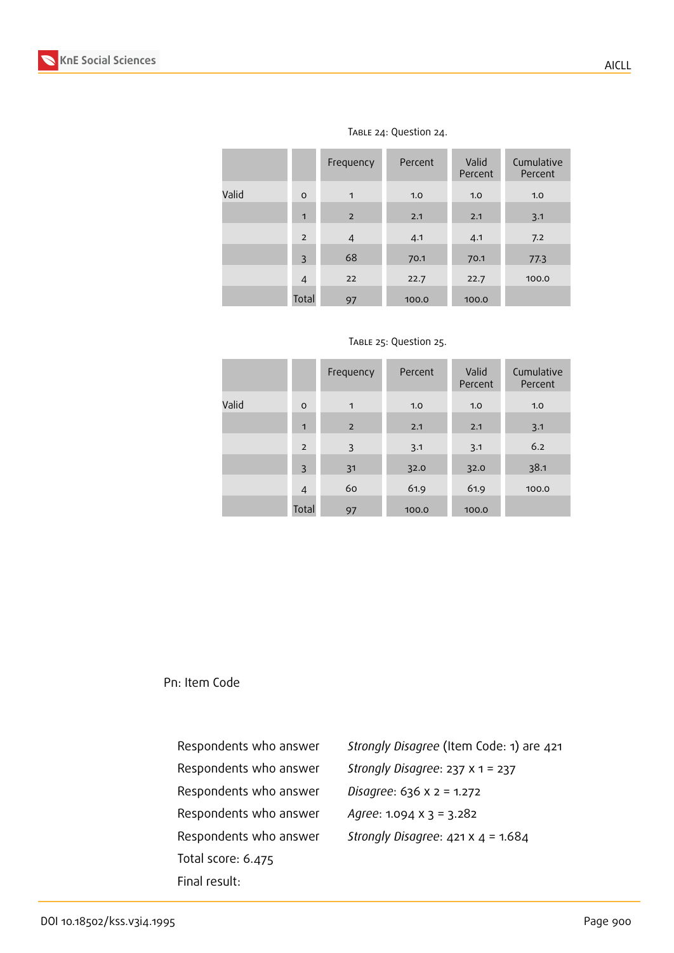

|       |                | Frequency      | Percent | Valid<br>Percent | Cumulative<br>Percent |
|-------|----------------|----------------|---------|------------------|-----------------------|
| Valid | $\circ$        | $\mathbf{1}$   | 1.0     | 1.0              | 1.0                   |
|       | $\mathbf{1}$   | $\overline{2}$ | 2.1     | 2.1              | 3.1                   |
|       | $\overline{2}$ | $\overline{4}$ | 4.1     | 4.1              | 7.2                   |
|       | 3              | 68             | 70.1    | 70.1             | 77.3                  |
|       | $\overline{4}$ | 22             | 22.7    | 22.7             | 100.0                 |
|       | Total          | 97             | 100.0   | 100.0            |                       |

#### TABLE 24: Question 24.

|  | TABLE 25: Question 25. |  |
|--|------------------------|--|
|--|------------------------|--|

|       |                | Frequency    | Percent | Valid<br>Percent | Cumulative<br>Percent |
|-------|----------------|--------------|---------|------------------|-----------------------|
| Valid | $\mathsf{o}$   | $\mathbf{1}$ | 1.0     | 1.0              | 1.0                   |
|       | 1              | 2            | 2.1     | 2.1              | 3.1                   |
|       | $\overline{2}$ | 3            | 3.1     | 3.1              | 6.2                   |
|       | 3              | 31           | 32.0    | 32.0             | 38.1                  |
|       | $\overline{4}$ | 60           | 61.9    | 61.9             | 100.0                 |
|       | Total          | 97           | 100.0   | 100.0            |                       |

Pn: Item Code

Respondents who answer *Disagree*: 636 x 2 = 1.272 Respondents who answer *Agree*: 1.094 x 3 = 3.282 Total score: 6.475 Final result:

Respondents who answer *Strongly Disagree* (Item Code: 1) are 421 Respondents who answer *Strongly Disagree*: 237 x 1 = 237 Respondents who answer *Strongly Disagree*: 421 x 4 = 1.684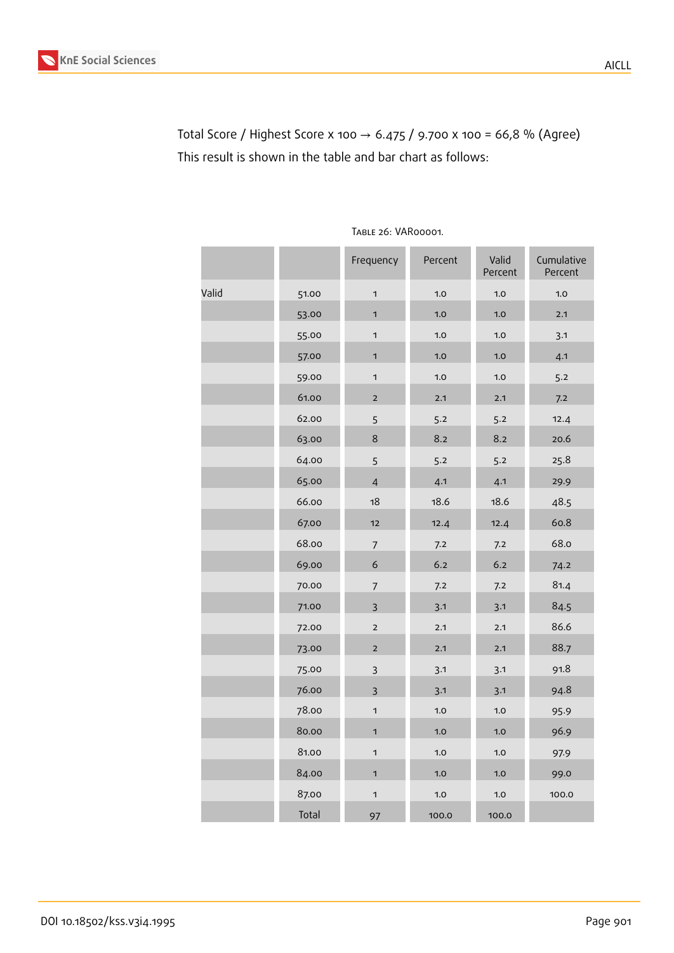

Total Score / Highest Score x 100 → 6.475 / 9.700 x 100 = 66,8 % (Agree) This result is shown in the table and bar chart as follows:

|       |       | Frequency      | Percent | Valid<br>Percent | Cumulative<br>Percent |
|-------|-------|----------------|---------|------------------|-----------------------|
| Valid | 51.00 | $\mathbf{1}$   | 1.0     | 1.0              | 1.0                   |
|       | 53.00 | 1              | 1.0     | 1.0              | 2.1                   |
|       | 55.00 | $\mathbf 1$    | 1.0     | 1.0              | 3.1                   |
|       | 57.00 | 1              | 1.0     | 1.0              | 4.1                   |
|       | 59.00 | $\mathbf 1$    | 1.0     | 1.0              | 5.2                   |
|       | 61.00 | $\overline{2}$ | 2.1     | 2.1              | 7.2                   |
|       | 62.00 | 5              | 5.2     | 5.2              | 12.4                  |
|       | 63.00 | $\,8\,$        | 8.2     | 8.2              | 20.6                  |
|       | 64.00 | 5              | 5.2     | 5.2              | 25.8                  |
|       | 65.00 | $\overline{4}$ | 4.1     | 4.1              | 29.9                  |
|       | 66.00 | 18             | 18.6    | 18.6             | 48.5                  |
|       | 67.00 | 12             | 12.4    | 12.4             | 60.8                  |
|       | 68.00 | $\overline{7}$ | 7.2     | 7.2              | 68.0                  |
|       | 69.00 | $\epsilon$     | 6.2     | 6.2              | 74.2                  |
|       | 70.00 | $\overline{7}$ | 7.2     | 7.2              | 81.4                  |
|       | 71.00 | $\overline{3}$ | 3.1     | 3.1              | 84.5                  |
|       | 72.00 | $\mathbf 2$    | 2.1     | 2.1              | 86.6                  |
|       | 73.00 | $\overline{2}$ | 2.1     | 2.1              | 88.7                  |
|       | 75.00 | $\overline{3}$ | 3.1     | 3.1              | 91.8                  |
|       | 76.00 | $\overline{3}$ | 3.1     | 3.1              | 94.8                  |
|       | 78.00 | $\mathbf 1$    | 1.0     | 1.0              | 95.9                  |
|       | 80.00 | 1              | 1.0     | 1.0              | 96.9                  |
|       | 81.00 | $\mathbf 1$    | 1.0     | 1.0              | 97.9                  |
|       | 84.00 | $\mathbf{1}$   | 1.0     | 1.0              | 99.0                  |
|       | 87.00 | $\mathbf 1$    | 1.0     | 1.0              | 100.0                 |
|       | Total | 97             | 100.0   | 100.0            |                       |

Table 26: VAR00001.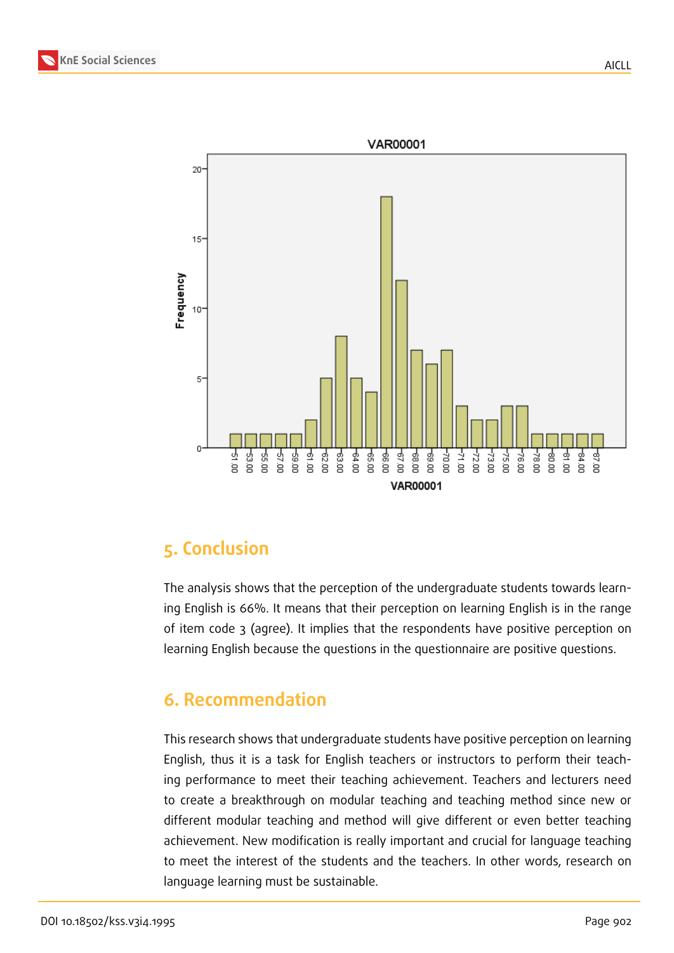



# **5. Conclusion**

The analysis shows that the perception of the undergraduate students towards learning English is 66%. It means that their perception on learning English is in the range of item code 3 (agree). It implies that the respondents have positive perception on learning English because the questions in the questionnaire are positive questions.

# **6. Recommendation**

This research shows that undergraduate students have positive perception on learning English, thus it is a task for English teachers or instructors to perform their teaching performance to meet their teaching achievement. Teachers and lecturers need to create a breakthrough on modular teaching and teaching method since new or different modular teaching and method will give different or even better teaching achievement. New modification is really important and crucial for language teaching to meet the interest of the students and the teachers. In other words, research on language learning must be sustainable.